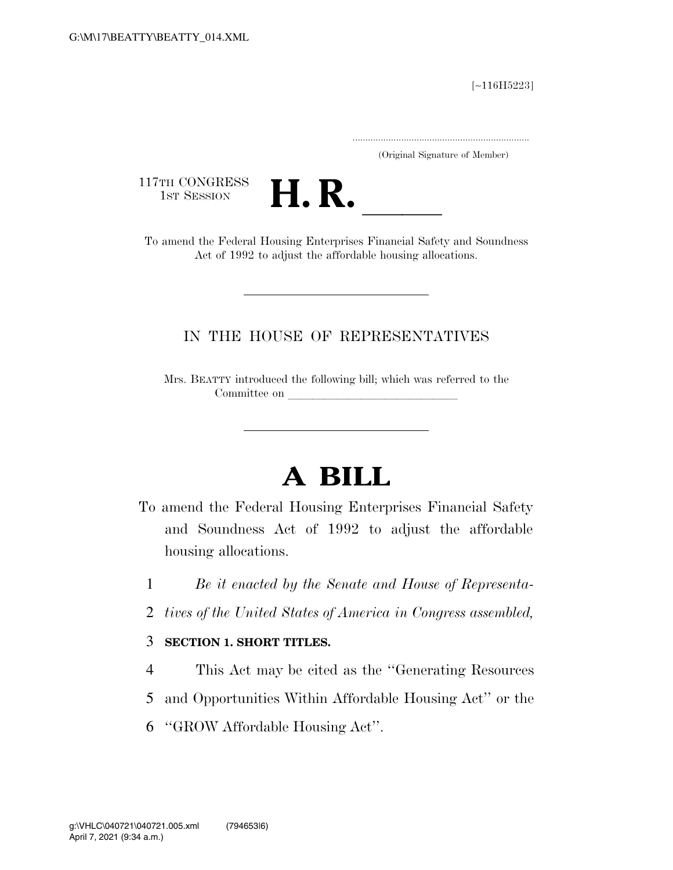[∼116H5223]

.....................................................................

(Original Signature of Member)

117TH CONGRESS<br>1st Session



17TH CONGRESS<br>1st Session **H. R.** <u>Indicesses Financial Safety</u> and Soundness<br>To amend the Federal Housing Enterprises Financial Safety and Soundness Act of 1992 to adjust the affordable housing allocations.

## IN THE HOUSE OF REPRESENTATIVES

Mrs. BEATTY introduced the following bill; which was referred to the Committee on

## **A BILL**

- To amend the Federal Housing Enterprises Financial Safety and Soundness Act of 1992 to adjust the affordable housing allocations.
	- 1 *Be it enacted by the Senate and House of Representa-*
	- 2 *tives of the United States of America in Congress assembled,*

## 3 **SECTION 1. SHORT TITLES.**

- 4 This Act may be cited as the ''Generating Resources
- 5 and Opportunities Within Affordable Housing Act'' or the
- 6 ''GROW Affordable Housing Act''.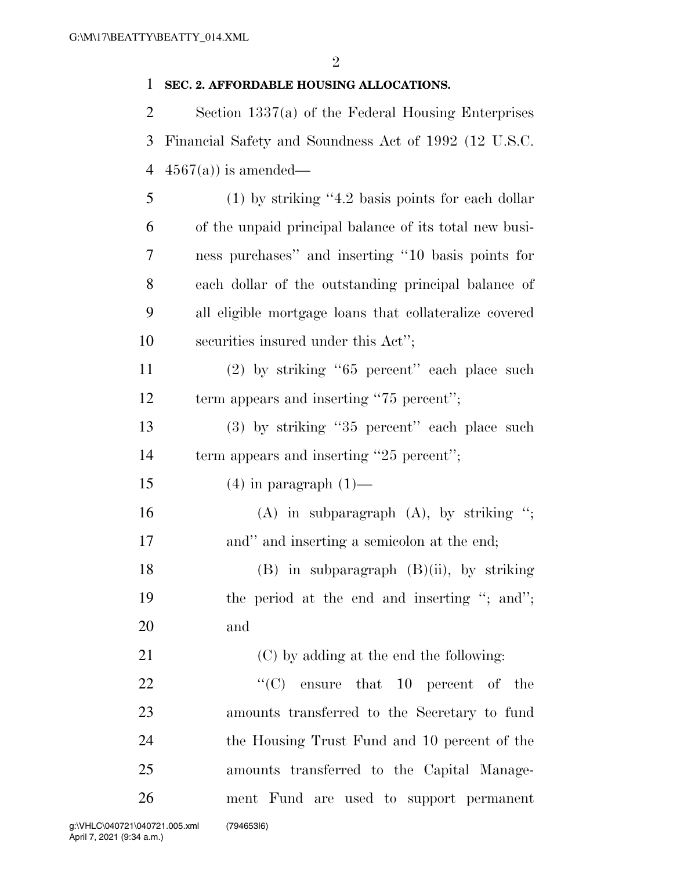## **SEC. 2. AFFORDABLE HOUSING ALLOCATIONS.**

 Section 1337(a) of the Federal Housing Enterprises Financial Safety and Soundness Act of 1992 (12 U.S.C. 4  $4567(a)$  is amended—

 (1) by striking ''4.2 basis points for each dollar of the unpaid principal balance of its total new busi- ness purchases'' and inserting ''10 basis points for each dollar of the outstanding principal balance of all eligible mortgage loans that collateralize covered securities insured under this Act'';

 (2) by striking ''65 percent'' each place such 12 term appears and inserting "75 percent";

 (3) by striking ''35 percent'' each place such 14 term appears and inserting "25 percent";

15 (4) in paragraph  $(1)$ —

16 (A) in subparagraph (A), by striking "; and'' and inserting a semicolon at the end;

 (B) in subparagraph (B)(ii), by striking the period at the end and inserting ''; and''; and

 (C) by adding at the end the following:  $\text{``(C)}$  ensure that 10 percent of the amounts transferred to the Secretary to fund the Housing Trust Fund and 10 percent of the amounts transferred to the Capital Manage-ment Fund are used to support permanent